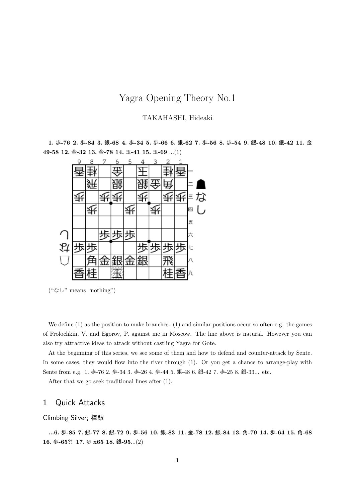# Yagra Opening Theory No.1

### TAKAHASHI, Hideaki

**1.** 歩**-76 2.** 歩**-84 3.** 銀**-68 4.** 歩**-34 5.** 歩**-66 6.** 銀**-62 7.** 歩**-56 8.** 歩**-54 9.** 銀**-48 10.** 銀**-42 11.** 金 **49-58 12.** 金**-32 13.** 金**-78 14.** 玉**-41 15.** 玉**-69** ...(1)



("なし" means "nothing")

We define  $(1)$  as the position to make branches.  $(1)$  and similar positions occur so often e.g. the games of Frolochkin, V. and Egorov, P. against me in Moscow. The line above is natural. However you can also try attractive ideas to attack without castling Yagra for Gote.

At the beginning of this series, we see some of them and how to defend and counter-attack by Sente. In some cases, they would flow into the river through  $(1)$ . Or you get a chance to arrange-play with Sente from e.g. 1. 歩-76 2. 歩-34 3. 歩-26 4. 歩-44 5. 銀-48 6. 銀-42 7. 歩-25 8. 銀-33... etc.

After that we go seek traditional lines after (1).

## 1 Quick Attacks

### Climbing Silver; 棒銀

**...6.** 歩**-85 7.** 銀**-77 8.** 銀**-72 9.** 歩**-56 10.** 銀**-83 11.** 金**-78 12.** 銀**-84 13.** 角**-79 14.** 歩**-64 15.** 角**-68 16.** 歩**-65?! 17.** 歩 **x65 18.** 銀**-95**...(2)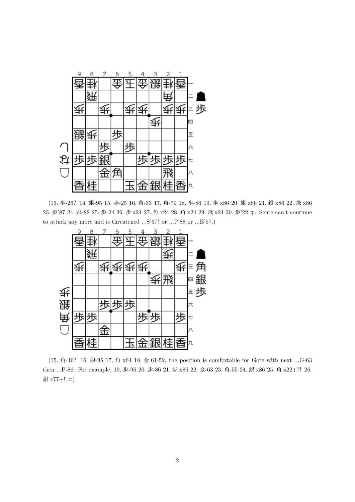

(13. 歩-26? 14. 銀-95 15. 歩-25 16. 角-33 17. 角-79 18. 歩-86 19. 歩 x86 20. 銀 x86 21. 銀 x86 22. 飛 x86 23. <sup>歩</sup>'87 24. <sup>飛</sup>-82 25. <sup>歩</sup>-24 26. <sup>歩</sup> x24 27. <sup>角</sup> x24 28. <sup>角</sup> x24 29. <sup>飛</sup> x24 30. <sup>歩</sup>'22 *∓*. Sente can't continue to attack any more and is threatened ...S'67! or ...P'88 or ...B'57.)



(15. 角-46? 16. 銀-95 17. 角 x64 18. 金 61-52, the position is comfortable for Gote with next ...G-63 then ...P-86. For example, 19. 歩-96 20. 歩-86 21. 歩 x86 22. 金-63 23. 角-55 24. 銀 x86 25. 角 x22+?! 26. <sup>銀</sup> x77+! *∓*)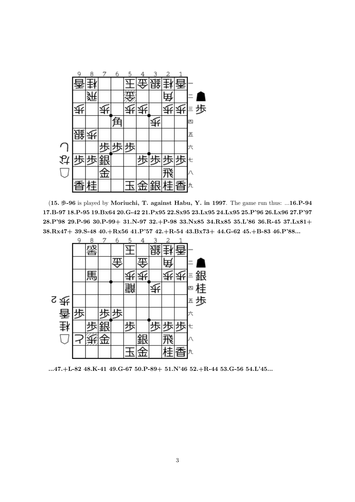

(**15.** 歩**-96** is played by **Moriuchi, T. against Habu, Y. in 1997**. The game run thus: ...**16.P-94 17.B-97 18.P-95 19.Bx64 20.G-42 21.Px95 22.Sx95 23.Lx95 24.Lx95 25.P'96 26.Lx96 27.P'97 28.P'98 29.P-96 30.P-99+ 31.N-97 32.+P-98 33.Nx85 34.Rx85 35.L'86 36.R-45 37.Lx81+ 38.Rx47+ 39.S-48 40.+Rx56 41.P'57 42.+R-54 43.Bx73+ 44.G-62 45.+B-83 46.P'88...**



**...47.+L-82 48.K-41 49.G-67 50.P-89+ 51.N'46 52.+R-44 53.G-56 54.L'45...**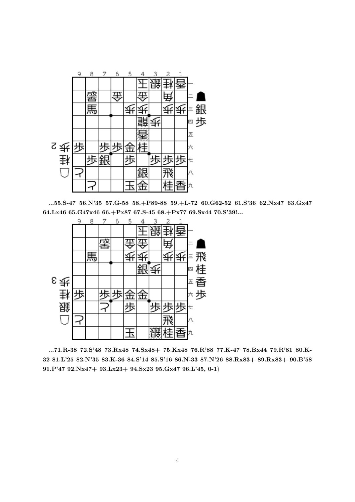

**...55.S-47 56.N'35 57.G-58 58.+P89-88 59.+L-72 60.G62-52 61.S'36 62.Nx47 63.Gx47 64.Lx46 65.G47x46 66.+Px87 67.S-45 68.+Px77 69.Sx44 70.S'39!...**



**...71.R-38 72.S'48 73.Rx48 74.Sx48+ 75.Kx48 76.R'88 77.K-47 78.Bx44 79.R'81 80.K-32 81.L'25 82.N'35 83.K-36 84.S'14 85.S'16 86.N-33 87.N'26 88.Rx83+ 89.Rx83+ 90.B'58 91.P'47 92.Nx47+ 93.Lx23+ 94.Sx23 95.Gx47 96.L'45, 0-1**)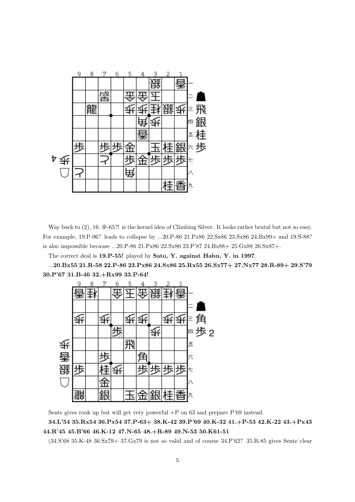

Way back to  $(2)$ , 16. 歩-65?! is the kernel idea of Climbing Silver. It looks rather brutal but not so easy. For example, 19.P-96? leads to collapse by ...20.P-86 21.Px86 22.Sx86 23.Sx86 24.Bx99+ and 19.S-88? is also impossible because ...20.P-86 21.Px86 22.Sx86 23.P'87 24.Bx88+ 25.Gx88 26.Sx87+.

The correct deal is **19.P-55!** played by **Sato, Y. against Habu, Y. in 1997**.

...**20.Bx55 21.R-58 22.P-86 23.Px86 24.Sx86 25.Rx55 26.Sx77+ 27.Nx77 28.R-89+ 29.S'79 30.P'67 31.B-46 32.+Rx99 33.P-64!**



Sente gives rook up but will get very powerful +P on 63 and prepare P'69 instead.

**34.L'54 35.Rx54 36.Px54 37.P-63+ 38.K-42 39.P'69 40.K-32 41.+P-53 42.K-22 43.+Px43 44.R'45 45.B'66 46.K-12 47.N-65 48.+R-89 49.N-53 50.K61-51**

(34.S'68 35.K-48 36.Sx79+ 37.Gx79 is not so valid and of course 34.P'62? 35.R-85 gives Sente clear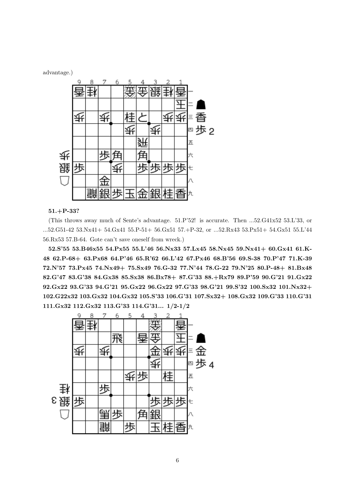advantage.)



#### **51.+P-33?**

(This throws away much of Sente's advantage. 51.P'52! is accurate. Then ...52.G41x52 53.L'33, or ...52.G51-42 53.Nx41+ 54.Gx41 55.P-51+ 56.Gx51 57.+P-32, or ...52.Rx43 53.Px51+ 54.Gx51 55.L'44 56.Rx53 57.B-64. Gote can't save oneself from wreck.)

**52.S'55 53.B46x55 54.Px55 55.L'46 56.Nx33 57.Lx45 58.Nx45 59.Nx41+ 60.Gx41 61.K-48 62.P-68+ 63.Px68 64.P'46 65.R'62 66.L'42 67.Px46 68.B'56 69.S-38 70.P'47 71.K-39 72.N'57 73.Px45 74.Nx49+ 75.Sx49 76.G-32 77.N'44 78.G-22 79.N'25 80.P-48+ 81.Bx48 82.G'47 83.G'38 84.Gx38 85.Sx38 86.Bx78+ 87.G'33 88.+Rx79 89.P'59 90.G'21 91.Gx22 92.Gx22 93.G'33 94.G'21 95.Gx22 96.Gx22 97.G'33 98.G'21 99.S'32 100.Sx32 101.Nx32+ 102.G22x32 103.Gx32 104.Gx32 105.S'33 106.G'31 107.Sx32+ 108.Gx32 109.G'33 110.G'31 111.Gx32 112.Gx32 113.G'33 114.G'31... 1/2-1/2**

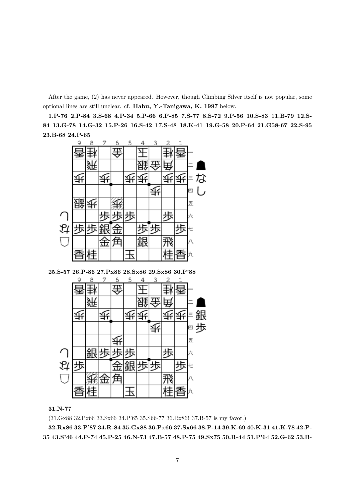After the game, (2) has never appeared. However, though Climbing Silver itself is not popular, some optional lines are still unclear. cf. **Habu, Y.-Tanigawa, K. 1997** below.

**1.P-76 2.P-84 3.S-68 4.P-34 5.P-66 6.P-85 7.S-77 8.S-72 9.P-56 10.S-83 11.B-79 12.S-84 13.G-78 14.G-32 15.P-26 16.S-42 17.S-48 18.K-41 19.G-58 20.P-64 21.G58-67 22.S-95 23.B-68 24.P-65**



**25.S-57 26.P-86 27.Px86 28.Sx86 29.Sx86 30.P'88**



#### **31.N-77**

(31.Gx88 32.Px66 33.Sx66 34.P'65 35.S66-77 36.Rx86! 37.B-57 is my favor.)

**32.Rx86 33.P'87 34.R-84 35.Gx88 36.Px66 37.Sx66 38.P-14 39.K-69 40.K-31 41.K-78 42.P-35 43.S'46 44.P-74 45.P-25 46.N-73 47.B-57 48.P-75 49.Sx75 50.R-44 51.P'64 52.G-62 53.B-**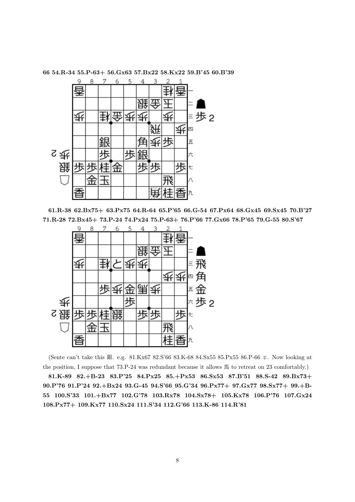

**66 54.R-34 55.P-63+ 56.Gx63 57.Bx22 58.Kx22 59.B'45 60.B'39**

**61.R-38 62.Bx75+ 63.Px75 64.R-64 65.P'65 66.G-54 67.Px64 68.Gx45 69.Sx45 70.B'27 71.R-28 72.Bx45+ 73.P-24 74.Px24 75.P-63+ 76.P'66 77.Gx66 78.P'65 79.G-55 80.S'67**



(Sente can't take this <sup>銀</sup>. e.g. 81.Kx67 82.S'66 83.K-68 84.Sx55 85.Px55 86.P-66 *∓*. Now looking at the position, I suppose that 73.P-24 was redundant because it allows 馬 to retreat on 23 comfortably.)

**81.K-89 82.+B-23 83.P'25 84.Px25 85.+Px53 86.Sx53 87.B'51 88.S-42 89.Bx73+ 90.P'76 91.P'24 92.+Bx24 93.G-45 94.S'66 95.G'34 96.Px77+ 97.Gx77 98.Sx77+ 99.+B-55 100.S'33 101.+Bx77 102.G'78 103.Rx78 104.Sx78+ 105.Kx78 106.P'76 107.Gx24 108.Px77+ 109.Kx77 110.Sx24 111.S'34 112.G'66 113.K-86 114.R'81**